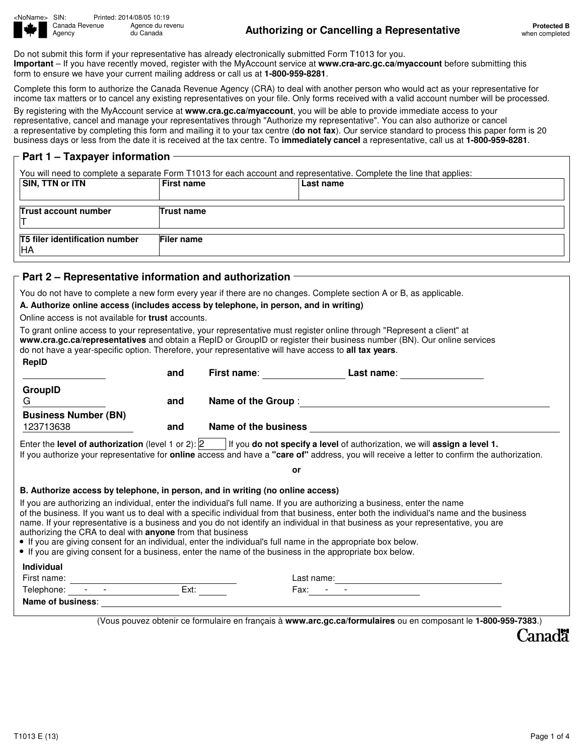

<NoName> SIN: Printed: 2014/08/05 10:19 Agence du revenu<br>du Canada

## Agency du Canada **Authorizing or Cancelling a Representative Protected B**

Do not submit this form if your representative has already electronically submitted Form T1013 for you. **Important** – If you have recently moved, register with the MyAccount service at **www.cra-arc.gc.ca/myaccount** before submitting this form to ensure we have your current mailing address or call us at **1-800-959-8281**.

Complete this form to authorize the Canada Revenue Agency (CRA) to deal with another person who would act as your representative for income tax matters or to cancel any existing representatives on your file. Only forms received with a valid account number will be processed.

By registering with the MyAccount service at **www.cra.gc.ca/myaccount**, you will be able to provide immediate access to your representative, cancel and manage your representatives through "Authorize my representative". You can also authorize or cancel a representative by completing this form and mailing it to your tax centre (**do not fax**). Our service standard to process this paper form is 20 business days or less from the date it is received at the tax centre. To **immediately cancel** a representative, call us at **1-800-959-8281**.

## **Part 1 – Taxpayer information**

You will need to complete a separate Form T1013 for each account and representative. Complete the line that applies:

| SIN, TTN or ITN                             | <b>First name</b> | Last name |
|---------------------------------------------|-------------------|-----------|
| Trust account number                        | Trust name        |           |
| T5 filer identification number<br><b>HA</b> | Filer name        |           |

## **Part 2 – Representative information and authorization**

You do not have to complete a new form every year if there are no changes. Complete section A or B, as applicable.

## **A. Authorize online access (includes access by telephone, in person, and in writing)**

Online access is not available for **trust** accounts.

| RepID                                                                                                                                                                                                                                                                                                                                    |      |    |                                                                                                                                                                                                                                                                                                                                                                                                            |
|------------------------------------------------------------------------------------------------------------------------------------------------------------------------------------------------------------------------------------------------------------------------------------------------------------------------------------------|------|----|------------------------------------------------------------------------------------------------------------------------------------------------------------------------------------------------------------------------------------------------------------------------------------------------------------------------------------------------------------------------------------------------------------|
|                                                                                                                                                                                                                                                                                                                                          | and  |    | First name: Last name:                                                                                                                                                                                                                                                                                                                                                                                     |
| GroupID                                                                                                                                                                                                                                                                                                                                  |      |    |                                                                                                                                                                                                                                                                                                                                                                                                            |
| G –                                                                                                                                                                                                                                                                                                                                      | and  |    |                                                                                                                                                                                                                                                                                                                                                                                                            |
| <b>Business Number (BN)</b><br>123713638                                                                                                                                                                                                                                                                                                 |      |    |                                                                                                                                                                                                                                                                                                                                                                                                            |
|                                                                                                                                                                                                                                                                                                                                          | and  |    | Name of the business and the state of the business                                                                                                                                                                                                                                                                                                                                                         |
|                                                                                                                                                                                                                                                                                                                                          |      |    |                                                                                                                                                                                                                                                                                                                                                                                                            |
|                                                                                                                                                                                                                                                                                                                                          |      | or |                                                                                                                                                                                                                                                                                                                                                                                                            |
| B. Authorize access by telephone, in person, and in writing (no online access)                                                                                                                                                                                                                                                           |      |    |                                                                                                                                                                                                                                                                                                                                                                                                            |
|                                                                                                                                                                                                                                                                                                                                          |      |    | If you are authorizing an individual, enter the individual's full name. If you are authorizing a business, enter the name<br>of the business. If you want us to deal with a specific individual from that business, enter both the individual's name and the business<br>name. If your representative is a business and you do not identify an individual in that business as your representative, you are |
|                                                                                                                                                                                                                                                                                                                                          |      |    |                                                                                                                                                                                                                                                                                                                                                                                                            |
|                                                                                                                                                                                                                                                                                                                                          |      |    |                                                                                                                                                                                                                                                                                                                                                                                                            |
| authorizing the CRA to deal with anyone from that business<br>• If you are giving consent for an individual, enter the individual's full name in the appropriate box below.<br>• If you are giving consent for a business, enter the name of the business in the appropriate box below.<br>Individual<br>First name:<br>Telephone: - - - | Ext: |    | Fax:                                                                                                                                                                                                                                                                                                                                                                                                       |

(Vous pouvez obtenir ce formulaire en français à **www.arc.gc.ca/formulaires** ou en composant le **1-800-959-7383**.)

Canadä